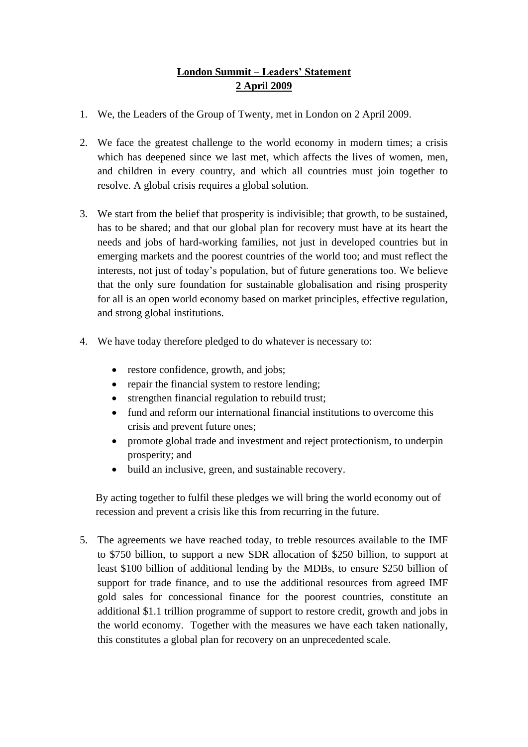# **London Summit – Leaders' Statement 2 April 2009**

- 1. We, the Leaders of the Group of Twenty, met in London on 2 April 2009.
- 2. We face the greatest challenge to the world economy in modern times; a crisis which has deepened since we last met, which affects the lives of women, men, and children in every country, and which all countries must join together to resolve. A global crisis requires a global solution.
- 3. We start from the belief that prosperity is indivisible; that growth, to be sustained, has to be shared; and that our global plan for recovery must have at its heart the needs and jobs of hard-working families, not just in developed countries but in emerging markets and the poorest countries of the world too; and must reflect the interests, not just of today's population, but of future generations too. We believe that the only sure foundation for sustainable globalisation and rising prosperity for all is an open world economy based on market principles, effective regulation, and strong global institutions.
- 4. We have today therefore pledged to do whatever is necessary to:
	- restore confidence, growth, and jobs;
	- repair the financial system to restore lending;
	- strengthen financial regulation to rebuild trust;
	- fund and reform our international financial institutions to overcome this crisis and prevent future ones;
	- promote global trade and investment and reject protectionism, to underpin prosperity; and
	- build an inclusive, green, and sustainable recovery.

By acting together to fulfil these pledges we will bring the world economy out of recession and prevent a crisis like this from recurring in the future.

5. The agreements we have reached today, to treble resources available to the IMF to \$750 billion, to support a new SDR allocation of \$250 billion, to support at least \$100 billion of additional lending by the MDBs, to ensure \$250 billion of support for trade finance, and to use the additional resources from agreed IMF gold sales for concessional finance for the poorest countries, constitute an additional \$1.1 trillion programme of support to restore credit, growth and jobs in the world economy. Together with the measures we have each taken nationally, this constitutes a global plan for recovery on an unprecedented scale.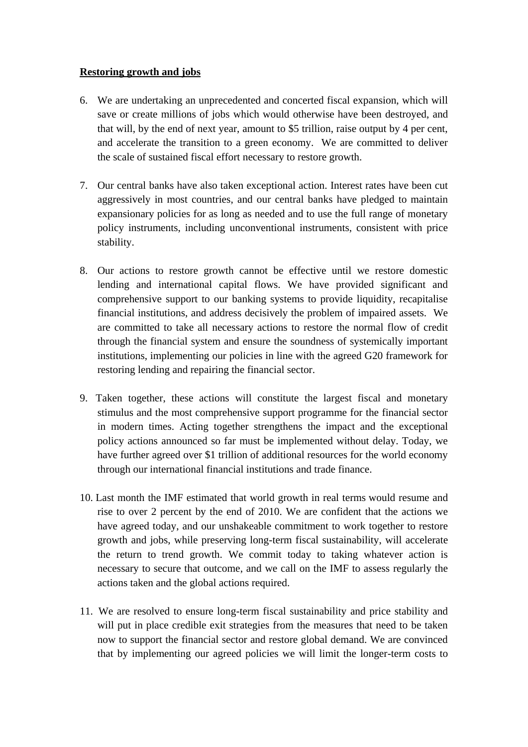#### **Restoring growth and jobs**

- 6. We are undertaking an unprecedented and concerted fiscal expansion, which will save or create millions of jobs which would otherwise have been destroyed, and that will, by the end of next year, amount to \$5 trillion, raise output by 4 per cent, and accelerate the transition to a green economy. We are committed to deliver the scale of sustained fiscal effort necessary to restore growth.
- 7. Our central banks have also taken exceptional action. Interest rates have been cut aggressively in most countries, and our central banks have pledged to maintain expansionary policies for as long as needed and to use the full range of monetary policy instruments, including unconventional instruments, consistent with price stability.
- 8. Our actions to restore growth cannot be effective until we restore domestic lending and international capital flows. We have provided significant and comprehensive support to our banking systems to provide liquidity, recapitalise financial institutions, and address decisively the problem of impaired assets. We are committed to take all necessary actions to restore the normal flow of credit through the financial system and ensure the soundness of systemically important institutions, implementing our policies in line with the agreed G20 framework for restoring lending and repairing the financial sector.
- 9. Taken together, these actions will constitute the largest fiscal and monetary stimulus and the most comprehensive support programme for the financial sector in modern times. Acting together strengthens the impact and the exceptional policy actions announced so far must be implemented without delay. Today, we have further agreed over \$1 trillion of additional resources for the world economy through our international financial institutions and trade finance.
- 10. Last month the IMF estimated that world growth in real terms would resume and rise to over 2 percent by the end of 2010. We are confident that the actions we have agreed today, and our unshakeable commitment to work together to restore growth and jobs, while preserving long-term fiscal sustainability, will accelerate the return to trend growth. We commit today to taking whatever action is necessary to secure that outcome, and we call on the IMF to assess regularly the actions taken and the global actions required.
- 11. We are resolved to ensure long-term fiscal sustainability and price stability and will put in place credible exit strategies from the measures that need to be taken now to support the financial sector and restore global demand. We are convinced that by implementing our agreed policies we will limit the longer-term costs to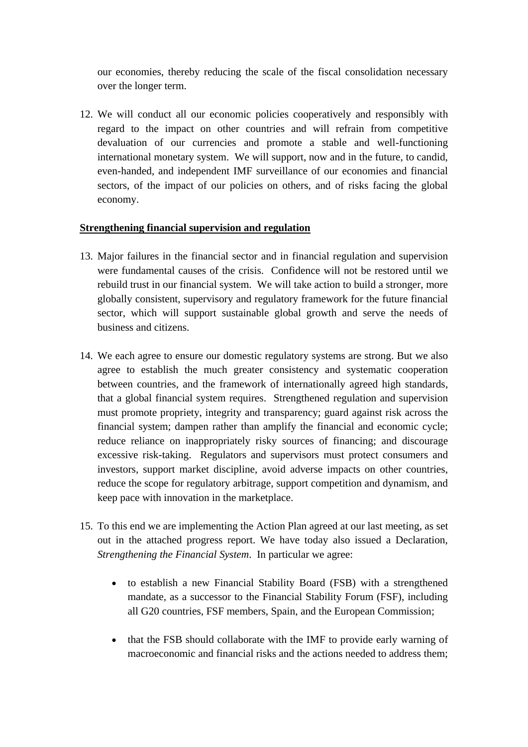our economies, thereby reducing the scale of the fiscal consolidation necessary over the longer term.

12. We will conduct all our economic policies cooperatively and responsibly with regard to the impact on other countries and will refrain from competitive devaluation of our currencies and promote a stable and well-functioning international monetary system. We will support, now and in the future, to candid, even-handed, and independent IMF surveillance of our economies and financial sectors, of the impact of our policies on others, and of risks facing the global economy.

#### **Strengthening financial supervision and regulation**

- 13. Major failures in the financial sector and in financial regulation and supervision were fundamental causes of the crisis. Confidence will not be restored until we rebuild trust in our financial system. We will take action to build a stronger, more globally consistent, supervisory and regulatory framework for the future financial sector, which will support sustainable global growth and serve the needs of business and citizens.
- 14. We each agree to ensure our domestic regulatory systems are strong. But we also agree to establish the much greater consistency and systematic cooperation between countries, and the framework of internationally agreed high standards, that a global financial system requires. Strengthened regulation and supervision must promote propriety, integrity and transparency; guard against risk across the financial system; dampen rather than amplify the financial and economic cycle; reduce reliance on inappropriately risky sources of financing; and discourage excessive risk-taking. Regulators and supervisors must protect consumers and investors, support market discipline, avoid adverse impacts on other countries, reduce the scope for regulatory arbitrage, support competition and dynamism, and keep pace with innovation in the marketplace.
- 15. To this end we are implementing the Action Plan agreed at our last meeting, as set out in the attached progress report. We have today also issued a Declaration, *Strengthening the Financial System*. In particular we agree:
	- to establish a new Financial Stability Board (FSB) with a strengthened mandate, as a successor to the Financial Stability Forum (FSF), including all G20 countries, FSF members, Spain, and the European Commission;
	- that the FSB should collaborate with the IMF to provide early warning of macroeconomic and financial risks and the actions needed to address them;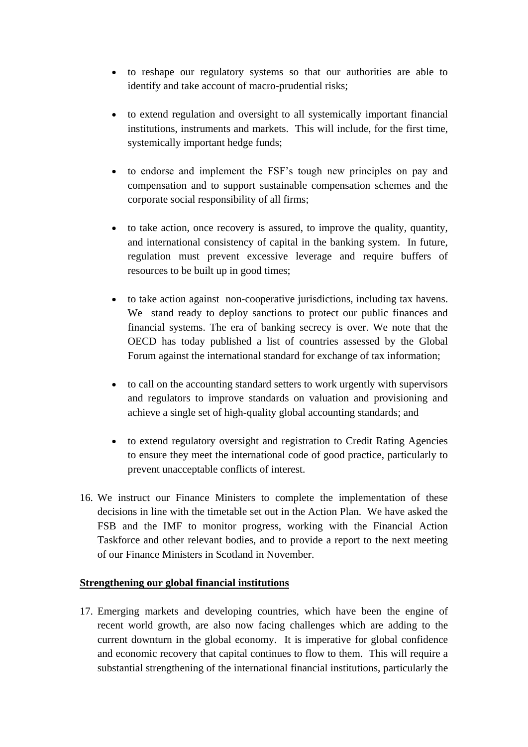- to reshape our regulatory systems so that our authorities are able to identify and take account of macro-prudential risks;
- to extend regulation and oversight to all systemically important financial institutions, instruments and markets. This will include, for the first time, systemically important hedge funds;
- to endorse and implement the FSF's tough new principles on pay and compensation and to support sustainable compensation schemes and the corporate social responsibility of all firms;
- to take action, once recovery is assured, to improve the quality, quantity, and international consistency of capital in the banking system. In future, regulation must prevent excessive leverage and require buffers of resources to be built up in good times;
- to take action against non-cooperative jurisdictions, including tax havens. We stand ready to deploy sanctions to protect our public finances and financial systems. The era of banking secrecy is over. We note that the OECD has today published a list of countries assessed by the Global Forum against the international standard for exchange of tax information;
- to call on the accounting standard setters to work urgently with supervisors and regulators to improve standards on valuation and provisioning and achieve a single set of high-quality global accounting standards; and
- to extend regulatory oversight and registration to Credit Rating Agencies to ensure they meet the international code of good practice, particularly to prevent unacceptable conflicts of interest.
- 16. We instruct our Finance Ministers to complete the implementation of these decisions in line with the timetable set out in the Action Plan. We have asked the FSB and the IMF to monitor progress, working with the Financial Action Taskforce and other relevant bodies, and to provide a report to the next meeting of our Finance Ministers in Scotland in November.

### **Strengthening our global financial institutions**

17. Emerging markets and developing countries, which have been the engine of recent world growth, are also now facing challenges which are adding to the current downturn in the global economy. It is imperative for global confidence and economic recovery that capital continues to flow to them. This will require a substantial strengthening of the international financial institutions, particularly the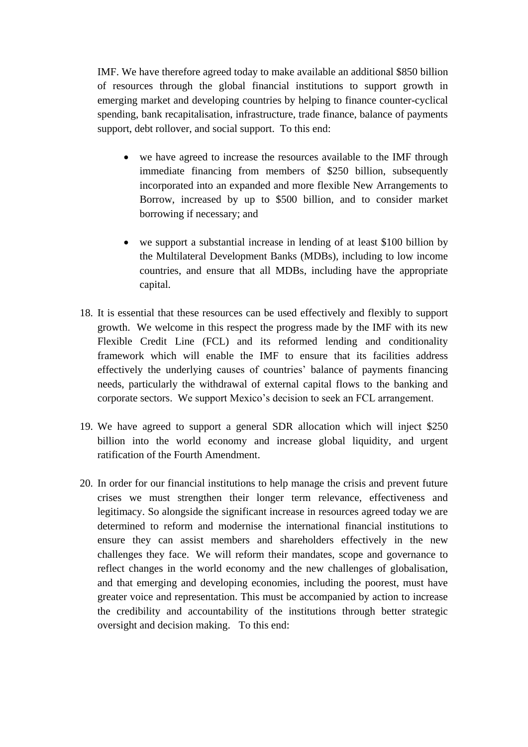IMF. We have therefore agreed today to make available an additional \$850 billion of resources through the global financial institutions to support growth in emerging market and developing countries by helping to finance counter-cyclical spending, bank recapitalisation, infrastructure, trade finance, balance of payments support, debt rollover, and social support. To this end:

- we have agreed to increase the resources available to the IMF through immediate financing from members of \$250 billion, subsequently incorporated into an expanded and more flexible New Arrangements to Borrow, increased by up to \$500 billion, and to consider market borrowing if necessary; and
- we support a substantial increase in lending of at least \$100 billion by the Multilateral Development Banks (MDBs), including to low income countries, and ensure that all MDBs, including have the appropriate capital.
- 18. It is essential that these resources can be used effectively and flexibly to support growth. We welcome in this respect the progress made by the IMF with its new Flexible Credit Line (FCL) and its reformed lending and conditionality framework which will enable the IMF to ensure that its facilities address effectively the underlying causes of countries' balance of payments financing needs, particularly the withdrawal of external capital flows to the banking and corporate sectors. We support Mexico's decision to seek an FCL arrangement.
- 19. We have agreed to support a general SDR allocation which will inject \$250 billion into the world economy and increase global liquidity, and urgent ratification of the Fourth Amendment.
- 20. In order for our financial institutions to help manage the crisis and prevent future crises we must strengthen their longer term relevance, effectiveness and legitimacy. So alongside the significant increase in resources agreed today we are determined to reform and modernise the international financial institutions to ensure they can assist members and shareholders effectively in the new challenges they face. We will reform their mandates, scope and governance to reflect changes in the world economy and the new challenges of globalisation, and that emerging and developing economies, including the poorest, must have greater voice and representation. This must be accompanied by action to increase the credibility and accountability of the institutions through better strategic oversight and decision making. To this end: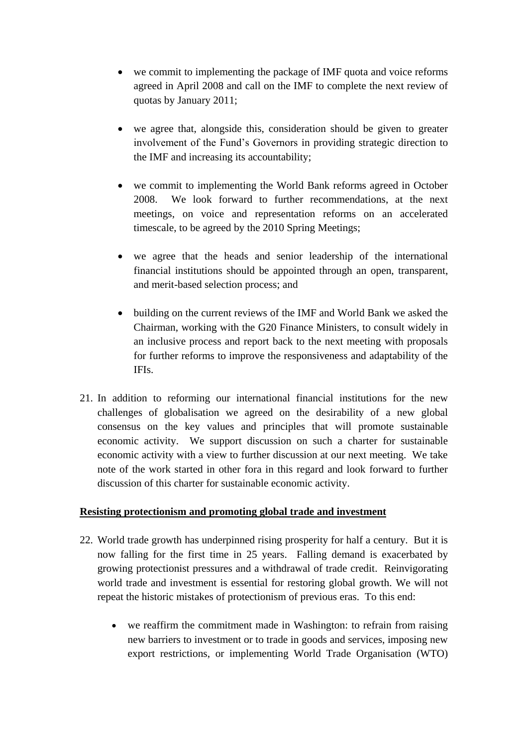- we commit to implementing the package of IMF quota and voice reforms agreed in April 2008 and call on the IMF to complete the next review of quotas by January 2011;
- we agree that, alongside this, consideration should be given to greater involvement of the Fund's Governors in providing strategic direction to the IMF and increasing its accountability;
- we commit to implementing the World Bank reforms agreed in October 2008. We look forward to further recommendations, at the next meetings, on voice and representation reforms on an accelerated timescale, to be agreed by the 2010 Spring Meetings;
- we agree that the heads and senior leadership of the international financial institutions should be appointed through an open, transparent, and merit-based selection process; and
- building on the current reviews of the IMF and World Bank we asked the Chairman, working with the G20 Finance Ministers, to consult widely in an inclusive process and report back to the next meeting with proposals for further reforms to improve the responsiveness and adaptability of the IFIs.
- 21. In addition to reforming our international financial institutions for the new challenges of globalisation we agreed on the desirability of a new global consensus on the key values and principles that will promote sustainable economic activity. We support discussion on such a charter for sustainable economic activity with a view to further discussion at our next meeting. We take note of the work started in other fora in this regard and look forward to further discussion of this charter for sustainable economic activity.

### **Resisting protectionism and promoting global trade and investment**

- 22. World trade growth has underpinned rising prosperity for half a century. But it is now falling for the first time in 25 years. Falling demand is exacerbated by growing protectionist pressures and a withdrawal of trade credit. Reinvigorating world trade and investment is essential for restoring global growth. We will not repeat the historic mistakes of protectionism of previous eras. To this end:
	- we reaffirm the commitment made in Washington: to refrain from raising new barriers to investment or to trade in goods and services, imposing new export restrictions, or implementing World Trade Organisation (WTO)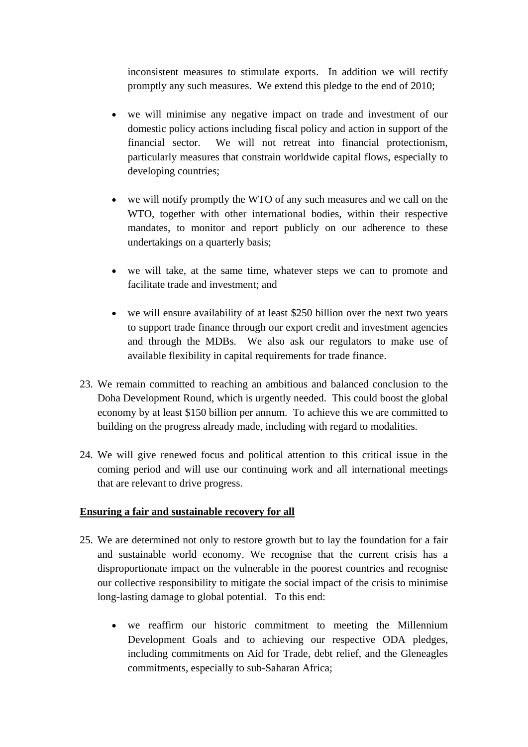inconsistent measures to stimulate exports. In addition we will rectify promptly any such measures. We extend this pledge to the end of 2010;

- we will minimise any negative impact on trade and investment of our domestic policy actions including fiscal policy and action in support of the financial sector. We will not retreat into financial protectionism, particularly measures that constrain worldwide capital flows, especially to developing countries;
- we will notify promptly the WTO of any such measures and we call on the WTO, together with other international bodies, within their respective mandates, to monitor and report publicly on our adherence to these undertakings on a quarterly basis;
- we will take, at the same time, whatever steps we can to promote and facilitate trade and investment; and
- we will ensure availability of at least \$250 billion over the next two years to support trade finance through our export credit and investment agencies and through the MDBs. We also ask our regulators to make use of available flexibility in capital requirements for trade finance.
- 23. We remain committed to reaching an ambitious and balanced conclusion to the Doha Development Round, which is urgently needed. This could boost the global economy by at least \$150 billion per annum. To achieve this we are committed to building on the progress already made, including with regard to modalities.
- 24. We will give renewed focus and political attention to this critical issue in the coming period and will use our continuing work and all international meetings that are relevant to drive progress.

### **Ensuring a fair and sustainable recovery for all**

- 25. We are determined not only to restore growth but to lay the foundation for a fair and sustainable world economy. We recognise that the current crisis has a disproportionate impact on the vulnerable in the poorest countries and recognise our collective responsibility to mitigate the social impact of the crisis to minimise long-lasting damage to global potential. To this end:
	- we reaffirm our historic commitment to meeting the Millennium Development Goals and to achieving our respective ODA pledges, including commitments on Aid for Trade, debt relief, and the Gleneagles commitments, especially to sub-Saharan Africa;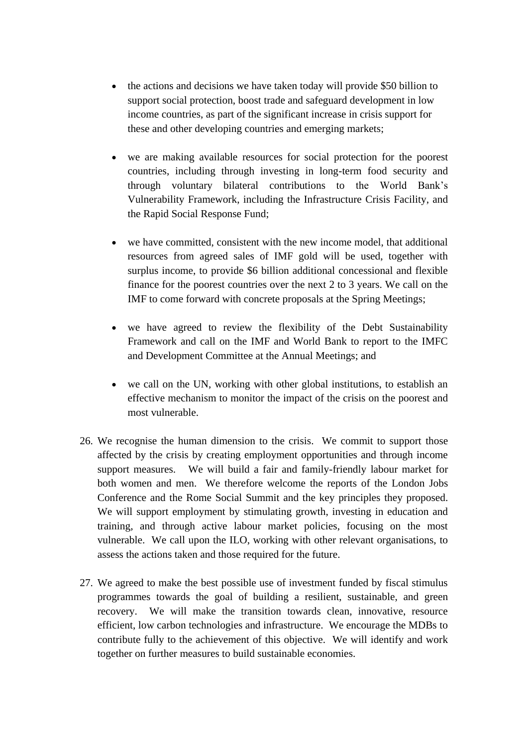- the actions and decisions we have taken today will provide \$50 billion to support social protection, boost trade and safeguard development in low income countries, as part of the significant increase in crisis support for these and other developing countries and emerging markets;
- we are making available resources for social protection for the poorest countries, including through investing in long-term food security and through voluntary bilateral contributions to the World Bank's Vulnerability Framework, including the Infrastructure Crisis Facility, and the Rapid Social Response Fund;
- we have committed, consistent with the new income model, that additional resources from agreed sales of IMF gold will be used, together with surplus income, to provide \$6 billion additional concessional and flexible finance for the poorest countries over the next 2 to 3 years. We call on the IMF to come forward with concrete proposals at the Spring Meetings;
- we have agreed to review the flexibility of the Debt Sustainability Framework and call on the IMF and World Bank to report to the IMFC and Development Committee at the Annual Meetings; and
- we call on the UN, working with other global institutions, to establish an effective mechanism to monitor the impact of the crisis on the poorest and most vulnerable.
- 26. We recognise the human dimension to the crisis. We commit to support those affected by the crisis by creating employment opportunities and through income support measures. We will build a fair and family-friendly labour market for both women and men. We therefore welcome the reports of the London Jobs Conference and the Rome Social Summit and the key principles they proposed. We will support employment by stimulating growth, investing in education and training, and through active labour market policies, focusing on the most vulnerable. We call upon the ILO, working with other relevant organisations, to assess the actions taken and those required for the future.
- 27. We agreed to make the best possible use of investment funded by fiscal stimulus programmes towards the goal of building a resilient, sustainable, and green recovery. We will make the transition towards clean, innovative, resource efficient, low carbon technologies and infrastructure. We encourage the MDBs to contribute fully to the achievement of this objective. We will identify and work together on further measures to build sustainable economies.